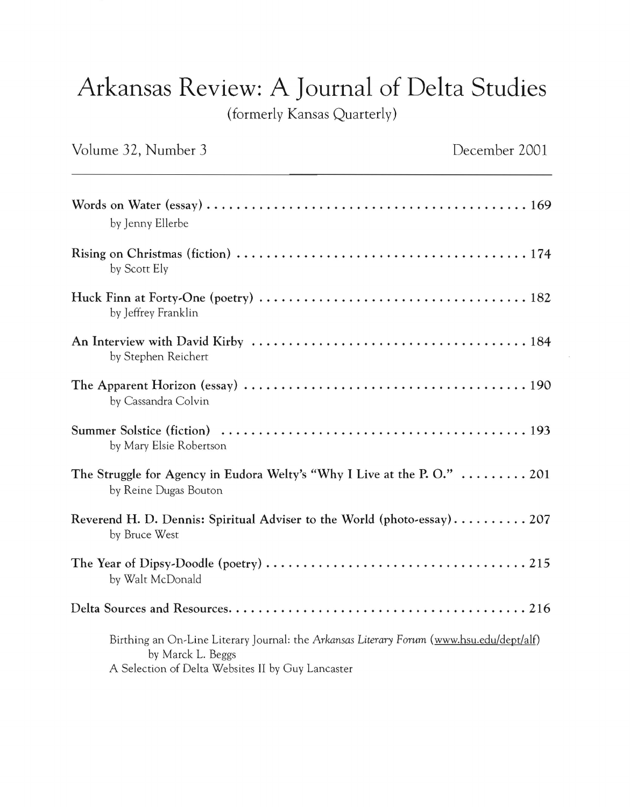## Arkansas Review: A Journal of Delta Studies

(formerly Kansas Quarterly)

| Volume 32, Number 3                                                                                                                                                | December 2001 |
|--------------------------------------------------------------------------------------------------------------------------------------------------------------------|---------------|
| by Jenny Ellerbe                                                                                                                                                   |               |
| by Scott Ely                                                                                                                                                       |               |
| by Jeffrey Franklin                                                                                                                                                |               |
| by Stephen Reichert                                                                                                                                                |               |
| by Cassandra Colvin                                                                                                                                                |               |
| by Mary Elsie Robertson                                                                                                                                            |               |
| The Struggle for Agency in Eudora Welty's "Why I Live at the P.O."  201<br>by Reine Dugas Bouton                                                                   |               |
| Reverend H. D. Dennis: Spiritual Adviser to the World (photo-essay) 207<br>by Bruce West                                                                           |               |
| by Walt McDonald                                                                                                                                                   |               |
|                                                                                                                                                                    |               |
| Birthing an On-Line Literary Journal: the Arkansas Literary Forum (www.hsu.edu/dept/alf)<br>by Marck L. Beggs<br>A Selection of Delta Websites II by Guy Lancaster |               |